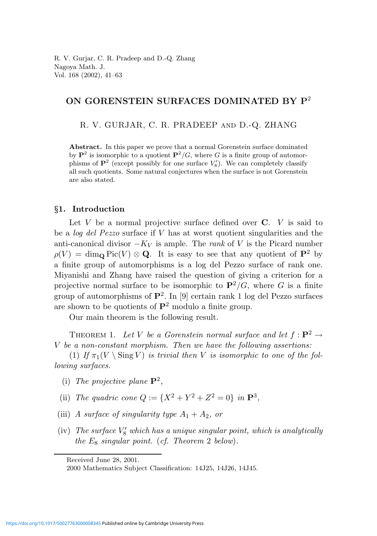## ON GORENSTEIN SURFACES DOMINATED BY P<sup>2</sup>

R. V. GURJAR, C. R. PRADEEP and D.-Q. ZHANG

Abstract. In this paper we prove that a normal Gorenstein surface dominated by  $\mathbf{P}^2$  is isomorphic to a quotient  $\mathbf{P}^2/G$ , where G is a finite group of automorphisms of  $\mathbf{P}^2$  (except possibly for one surface  $V'_8$ ). We can completely classify all such quotients. Some natural conjectures when the surface is not Gorenstein are also stated.

#### §1. Introduction

Let V be a normal projective surface defined over  $C$ . V is said to be a log del Pezzo surface if V has at worst quotient singularities and the anti-canonical divisor  $-K_V$  is ample. The rank of V is the Picard number  $\rho(V) = \dim_{\mathbf{Q}} \text{Pic}(V) \otimes \mathbf{Q}$ . It is easy to see that any quotient of  $\mathbf{P}^2$  by a finite group of automorphisms is a log del Pezzo surface of rank one. Miyanishi and Zhang have raised the question of giving a criterion for a projective normal surface to be isomorphic to  $\mathbf{P}^2/G$ , where G is a finite group of automorphisms of  $\mathbf{P}^2$ . In [9] certain rank 1 log del Pezzo surfaces are shown to be quotients of  $\mathbf{P}^2$  modulo a finite group.

Our main theorem is the following result.

THEOREM 1. Let V be a Gorenstein normal surface and let  $f: \mathbf{P}^2 \to$ V be a non-constant morphism. Then we have the following assertions:

(1) If  $\pi_1(V \setminus \text{Sing } V)$  is trivial then V is isomorphic to one of the following surfaces.

- (i) The projective plane  $\mathbf{P}^2$ ,
- (ii) The quadric cone  $Q := \{X^2 + Y^2 + Z^2 = 0\}$  in  $\mathbf{P}^3$ ,
- (iii) A surface of singularity type  $A_1 + A_2$ , or
- (iv) The surface  $V'_8$  which has a unique singular point, which is analytically the  $E_8$  singular point. (cf. Theorem 2 below).

Received June 28, 2001.

<sup>2000</sup> Mathematics Subject Classification: 14J25, 14J26, 14J45.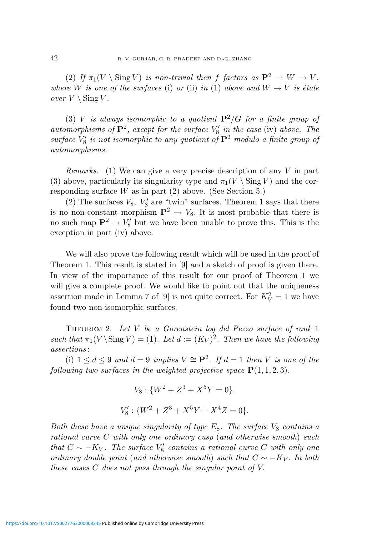(2) If  $\pi_1(V \setminus \text{Sing } V)$  is non-trivial then f factors as  $\mathbf{P}^2 \to W \to V$ , where W is one of the surfaces (i) or (ii) in (1) above and  $W \to V$  is étale over  $V \setminus$  Sing V.

(3) V is always isomorphic to a quotient  $\mathbf{P}^2/G$  for a finite group of automorphisms of  $\mathbf{P}^2$ , except for the surface  $V'_8$  in the case (iv) above. The surface  $V_8'$  is not isomorphic to any quotient of  $\mathbf{P}^2$  modulo a finite group of automorphisms.

*Remarks.* (1) We can give a very precise description of any V in part (3) above, particularly its singularity type and  $\pi_1(V \setminus \text{Sing } V)$  and the corresponding surface  $W$  as in part  $(2)$  above. (See Section 5.)

(2) The surfaces  $V_8$ ,  $V'_8$  are "twin" surfaces. Theorem 1 says that there is no non-constant morphism  $\mathbf{P}^2 \to V_8$ . It is most probable that there is no such map  $\mathbf{P}^2 \to V_8'$  but we have been unable to prove this. This is the exception in part (iv) above.

We will also prove the following result which will be used in the proof of Theorem 1. This result is stated in [9] and a sketch of proof is given there. In view of the importance of this result for our proof of Theorem 1 we will give a complete proof. We would like to point out that the uniqueness assertion made in Lemma 7 of [9] is not quite correct. For  $K_V^2 = 1$  we have found two non-isomorphic surfaces.

Theorem 2. Let V be a Gorenstein log del Pezzo surface of rank 1 such that  $\pi_1(V \backslash \text{Sing } V) = (1)$ . Let  $d := (K_V)^2$ . Then we have the following assertions :

(i)  $1 \leq d \leq 9$  and  $d = 9$  implies  $V \cong \mathbf{P}^2$ . If  $d = 1$  then V is one of the following two surfaces in the weighted projective space  $P(1, 1, 2, 3)$ .

$$
V_8: \{W^2 + Z^3 + X^5Y = 0\}.
$$
  

$$
V'_8: \{W^2 + Z^3 + X^5Y + X^4Z = 0\}.
$$

Both these have a unique singularity of type  $E_8$ . The surface  $V_8$  contains a rational curve C with only one ordinary cusp (and otherwise smooth) such that  $C \sim -K_V$ . The surface  $V_8'$  contains a rational curve C with only one ordinary double point (and otherwise smooth) such that  $C \sim -K_V$ . In both these cases C does not pass through the singular point of V.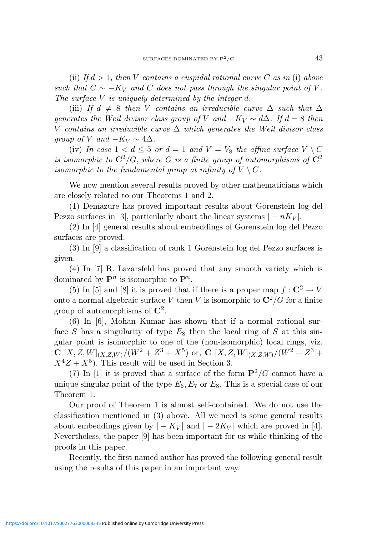(ii) If  $d > 1$ , then V contains a cuspidal rational curve C as in (i) above such that  $C \sim -K_V$  and C does not pass through the singular point of V. The surface V is uniquely determined by the integer d.

(iii) If  $d \neq 8$  then V contains an irreducible curve  $\Delta$  such that  $\Delta$ generates the Weil divisor class group of V and  $-K_V \sim d\Delta$ . If  $d=8$  then V contains an irreducible curve  $\Delta$  which generates the Weil divisor class group of V and  $-K_V \sim 4\Delta$ .

(iv) In case  $1 < d \leq 5$  or  $d = 1$  and  $V = V_8$  the affine surface  $V \setminus C$ is isomorphic to  $\mathbb{C}^2/G$ , where G is a finite group of automorphisms of  $\mathbb{C}^2$ isomorphic to the fundamental group at infinity of  $V \setminus C$ .

We now mention several results proved by other mathematicians which are closely related to our Theorems 1 and 2.

(1) Demazure has proved important results about Gorenstein log del Pezzo surfaces in [3], particularly about the linear systems  $|-nK_V|$ .

(2) In [4] general results about embeddings of Gorenstein log del Pezzo surfaces are proved.

(3) In [9] a classification of rank 1 Gorenstein log del Pezzo surfaces is given.

(4) In [7] R. Lazarsfeld has proved that any smooth variety which is dominated by  $\mathbf{P}^n$  is isomorphic to  $\mathbf{P}^n$ .

(5) In [5] and [8] it is proved that if there is a proper map  $f: \mathbb{C}^2 \to V$ onto a normal algebraic surface V then V is isomorphic to  $\mathbb{C}^2/G$  for a finite group of automorphisms of  $\mathbb{C}^2$ .

(6) In [6], Mohan Kumar has shown that if a normal rational surface S has a singularity of type  $E_8$  then the local ring of S at this singular point is isomorphic to one of the (non-isomorphic) local rings, viz.  $\mathbf{C}\left[X,Z,W\right]_{(X,Z,W)}/(W^2+Z^3+X^5)$  or,  $\mathbf{C}\left[X,Z,W\right]_{(X,Z,W)}/(W^2+Z^3+Y^4)$  $X^4Z + X^5$ ). This result will be used in Section 3.

(7) In [1] it is proved that a surface of the form  $\mathbf{P}^2/G$  cannot have a unique singular point of the type  $E_6, E_7$  or  $E_8$ . This is a special case of our Theorem 1.

Our proof of Theorem 1 is almost self-contained. We do not use the classification mentioned in (3) above. All we need is some general results about embeddings given by  $|-K_V|$  and  $|-2K_V|$  which are proved in [4]. Nevertheless, the paper [9] has been important for us while thinking of the proofs in this paper.

Recently, the first named author has proved the following general result using the results of this paper in an important way.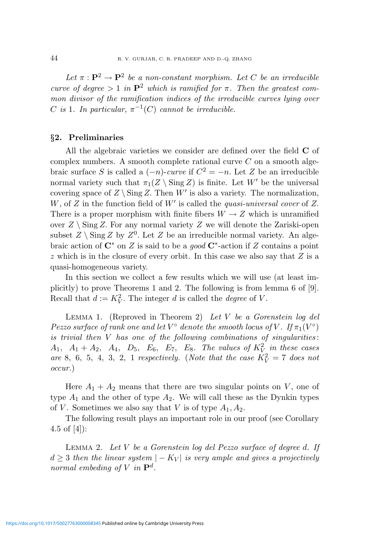Let  $\pi : \mathbf{P}^2 \to \mathbf{P}^2$  be a non-constant morphism. Let C be an irreducible curve of degree  $> 1$  in  $\mathbf{P}^2$  which is ramified for  $\pi$ . Then the greatest common divisor of the ramification indices of the irreducible curves lying over C is 1. In particular,  $\pi^{-1}(C)$  cannot be irreducible.

### §2. Preliminaries

All the algebraic varieties we consider are defined over the field C of complex numbers. A smooth complete rational curve  $C$  on a smooth algebraic surface S is called a  $(-n)$ -curve if  $C^2 = -n$ . Let Z be an irreducible normal variety such that  $\pi_1(Z \setminus \text{Sing } Z)$  is finite. Let  $W'$  be the universal covering space of  $Z \setminus Sing Z$ . Then W' is also a variety. The normalization, W, of  $Z$  in the function field of  $W'$  is called the *quasi-universal cover* of  $Z$ . There is a proper morphism with finite fibers  $W \to Z$  which is unramified over  $Z \setminus \text{Sing } Z$ . For any normal variety Z we will denote the Zariski-open subset  $Z \setminus \text{Sing } Z$  by  $Z^0$ . Let  $Z$  be an irreducible normal variety. An algebraic action of  $\mathbb{C}^*$  on Z is said to be a *good*  $\mathbb{C}^*$ -action if Z contains a point  $z$  which is in the closure of every orbit. In this case we also say that  $Z$  is a quasi-homogeneous variety.

In this section we collect a few results which we will use (at least implicitly) to prove Theorems 1 and 2. The following is from lemma 6 of [9]. Recall that  $d := K_V^2$ . The integer d is called the *degree* of V.

LEMMA 1. (Reproved in Theorem 2) Let  $V$  be a Gorenstein log del Pezzo surface of rank one and let  $V^{\circ}$  denote the smooth locus of  $V$ . If  $\pi_1(V^{\circ})$ is trivial then  $V$  has one of the following combinations of singularities:  $A_1$ ,  $A_1 + A_2$ ,  $A_4$ ,  $D_5$ ,  $E_6$ ,  $E_7$ ,  $E_8$ . The values of  $K_V^2$  in these cases are 8, 6, 5, 4, 3, 2, 1 respectively. (Note that the case  $K_V^2 = 7$  does not occur.)

Here  $A_1 + A_2$  means that there are two singular points on V, one of type  $A_1$  and the other of type  $A_2$ . We will call these as the Dynkin types of V. Sometimes we also say that V is of type  $A_1, A_2$ .

The following result plays an important role in our proof (see Corollary 4.5 of [4]):

LEMMA 2. Let  $V$  be a Gorenstein log del Pezzo surface of degree d. If  $d > 3$  then the linear system  $|-K_V|$  is very ample and gives a projectively normal embeding of V in  $\mathbf{P}^d$ .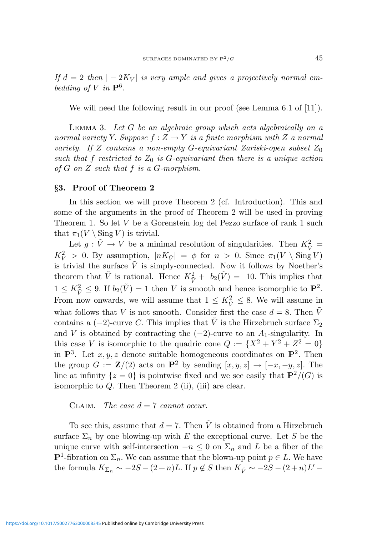If  $d = 2$  then  $|-2K_V|$  is very ample and gives a projectively normal embedding of V in  $\mathbf{P}^6$ .

We will need the following result in our proof (see Lemma 6.1 of [11]).

Lemma 3. Let G be an algebraic group which acts algebraically on a normal variety Y. Suppose  $f: Z \to Y$  is a finite morphism with Z a normal variety. If Z contains a non-empty G-equivariant Zariski-open subset  $Z_0$ such that f restricted to  $Z_0$  is G-equivariant then there is a unique action of  $G$  on  $Z$  such that  $f$  is a  $G$ -morphism.

#### §3. Proof of Theorem 2

In this section we will prove Theorem 2 (cf. Introduction). This and some of the arguments in the proof of Theorem 2 will be used in proving Theorem 1. So let V be a Gorenstein log del Pezzo surface of rank 1 such that  $\pi_1(V \setminus \text{Sing } V)$  is trivial.

Let  $g: \tilde{V} \to V$  be a minimal resolution of singularities. Then  $K_{\tilde{V}}^2$  =  $K_V^2 > 0$ . By assumption,  $|nK_{\tilde{V}}| = \phi$  for  $n > 0$ . Since  $\pi_1(V \setminus \text{Sing } V)$ is trivial the surface  $\tilde{V}$  is simply-connected. Now it follows by Noether's theorem that  $\tilde{V}$  is rational. Hence  $K_{\tilde{V}}^2 + b_2(\tilde{V}) = 10$ . This implies that  $1 \leq K_{\tilde{V}}^2 \leq 9$ . If  $b_2(\tilde{V}) = 1$  then V is smooth and hence isomorphic to  $\mathbf{P}^2$ . From now onwards, we will assume that  $1 \leq K_{\tilde{V}}^2 \leq 8$ . We will assume in what follows that V is not smooth. Consider first the case  $d = 8$ . Then  $\tilde{V}$ contains a (−2)-curve C. This implies that  $\tilde{V}$  is the Hirzebruch surface  $\Sigma_2$ and V is obtained by contracting the  $(-2)$ -curve to an  $A_1$ -singularity. In this case V is isomorphic to the quadric cone  $Q := \{X^2 + Y^2 + Z^2 = 0\}$ in  $\mathbf{P}^3$ . Let  $x, y, z$  denote suitable homogeneous coordinates on  $\mathbf{P}^2$ . Then the group  $G := \mathbf{Z}/(2)$  acts on  $\mathbf{P}^2$  by sending  $[x, y, z] \rightarrow [-x, -y, z]$ . The line at infinity  $\{z = 0\}$  is pointwise fixed and we see easily that  $\mathbf{P}^2/(G)$  is isomorphic to  $Q$ . Then Theorem 2 (ii), (iii) are clear.

CLAIM. The case  $d = 7$  cannot occur.

To see this, assume that  $d = 7$ . Then  $\tilde{V}$  is obtained from a Hirzebruch surface  $\Sigma_n$  by one blowing-up with E the exceptional curve. Let S be the unique curve with self-intersection  $-n \leq 0$  on  $\Sigma_n$  and L be a fiber of the **P**<sup>1</sup>-fibration on  $\Sigma_n$ . We can assume that the blown-up point  $p \in L$ . We have the formula  $K_{\Sigma_n} \sim -2S - (2+n)L$ . If  $p \notin S$  then  $K_{\tilde{V}} \sim -2S - (2+n)L' -$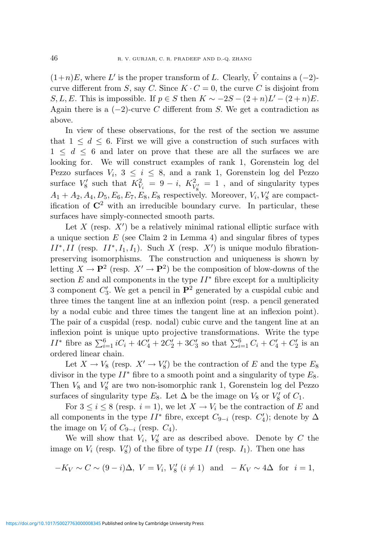$(1+n)E$ , where L' is the proper transform of L. Clearly,  $\tilde{V}$  contains a  $(-2)$ curve different from S, say C. Since  $K \cdot C = 0$ , the curve C is disjoint from S, L, E. This is impossible. If  $p \in S$  then  $K \sim -2S - (2+n)L' - (2+n)E$ . Again there is a  $(-2)$ -curve C different from S. We get a contradiction as above.

In view of these observations, for the rest of the section we assume that  $1 \leq d \leq 6$ . First we will give a construction of such surfaces with  $1 \leq d \leq 6$  and later on prove that these are all the surfaces we are looking for. We will construct examples of rank 1, Gorenstein log del Pezzo surfaces  $V_i$ ,  $3 \leq i \leq 8$ , and a rank 1, Gorenstein log del Pezzo surface  $V_8'$  such that  $K_{V_i}^2 = 9 - i$ ,  $K_{V_8'}^2 = 1$ , and of singularity types  $A_1 + A_2, A_4, D_5, E_6, E_7, E_8, E_8$  respectively. Moreover,  $V_i, V_8$  are compactification of  $\mathbb{C}^2$  with an irreducible boundary curve. In particular, these surfaces have simply-connected smooth parts.

Let  $X$  (resp.  $X'$ ) be a relatively minimal rational elliptic surface with a unique section  $E$  (see Claim 2 in Lemma 4) and singular fibres of types  $II^*, II$  (resp.  $II^*, I_1, I_1$ ). Such X (resp. X') is unique modulo fibrationpreserving isomorphisms. The construction and uniqueness is shown by letting  $X \to \mathbf{P}^2$  (resp.  $X' \to \mathbf{P}^2$ ) be the composition of blow-downs of the section  $E$  and all components in the type  $II^*$  fibre except for a multiplicity 3 component  $C_3'$ . We get a pencil in  $\mathbf{P}^2$  generated by a cuspidal cubic and three times the tangent line at an inflexion point (resp. a pencil generated by a nodal cubic and three times the tangent line at an inflexion point). The pair of a cuspidal (resp. nodal) cubic curve and the tangent line at an inflexion point is unique upto projective transformations. Write the type  $II^*$  fibre as  $\sum_{i=1}^6 iC_i + 4C'_4 + 2C'_2 + 3C'_3$  so that  $\sum_{i=1}^6 C_i + C'_4 + C'_2$  is an ordered linear chain.

Let  $X \to V_8$  (resp.  $X' \to V'_8$ ) be the contraction of E and the type  $E_8$ divisor in the type  $II^*$  fibre to a smooth point and a singularity of type  $E_8$ . Then  $V_8$  and  $V'_8$  are two non-isomorphic rank 1, Gorenstein log del Pezzo surfaces of singularity type  $E_8$ . Let  $\Delta$  be the image on  $V_8$  or  $V'_8$  of  $C_1$ .

For  $3 \leq i \leq 8$  (resp.  $i = 1$ ), we let  $X \to V_i$  be the contraction of E and all components in the type  $II^*$  fibre, except  $C_{9-i}$  (resp.  $C'_4$ ); denote by  $\Delta$ the image on  $V_i$  of  $C_{9-i}$  (resp.  $C_4$ ).

We will show that  $V_i$ ,  $V'_8$  are as described above. Denote by C the image on  $V_i$  (resp.  $V'_8$ ) of the fibre of type II (resp.  $I_1$ ). Then one has

$$
-K_V \sim C \sim (9-i)\Delta
$$
,  $V = V_i$ ,  $V'_8$   $(i \neq 1)$  and  $-K_V \sim 4\Delta$  for  $i = 1$ ,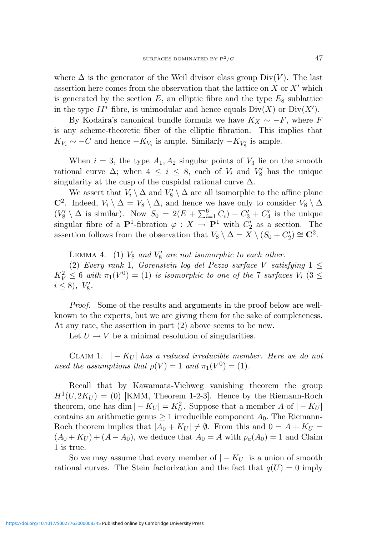where  $\Delta$  is the generator of the Weil divisor class group Div(V). The last assertion here comes from the observation that the lattice on  $X$  or  $X'$  which is generated by the section  $E$ , an elliptic fibre and the type  $E_8$  sublattice in the type  $II^*$  fibre, is unimodular and hence equals  $Div(X)$  or  $Div(X')$ .

By Kodaira's canonical bundle formula we have  $K_X \sim -F$ , where F is any scheme-theoretic fiber of the elliptic fibration. This implies that  $K_{V_i} \sim -C$  and hence  $-K_{V_i}$  is ample. Similarly  $-K_{V'_8}$  is ample.

When  $i = 3$ , the type  $A_1, A_2$  singular points of  $V_3$  lie on the smooth rational curve  $\Delta$ ; when  $4 \leq i \leq 8$ , each of  $V_i$  and  $V'_8$  has the unique singularity at the cusp of the cuspidal rational curve  $\Delta$ .

We assert that  $V_i \setminus \Delta$  and  $V'_8 \setminus \Delta$  are all isomorphic to the affine plane  $\mathbb{C}^2$ . Indeed,  $V_i \setminus \Delta = V_8 \setminus \Delta$ , and hence we have only to consider  $V_8 \setminus \Delta$  $(V_8' \setminus \Delta$  is similar). Now  $S_0 = 2(E + \sum_{i=1}^6 C_i) + C_3' + C_4'$  is the unique singular fibre of a  $\mathbf{P}^1$ -fibration  $\varphi : X \to \mathbf{P}^1$  with  $C'_2$  as a section. The assertion follows from the observation that  $V_8 \setminus \Delta = X \setminus (S_0 + C_2') \cong \mathbb{C}^2$ .

LEMMA 4. (1)  $V_8$  and  $V'_8$  are not isomorphic to each other. (2) Every rank 1, Gorenstein log del Pezzo surface V satisfying  $1 \leq$  $K_V^2 \leq 6$  with  $\pi_1(V^0) = (1)$  is isomorphic to one of the 7 surfaces  $V_i$   $(3 \leq$  $i \leq 8$ ,  $V'_8$ .

Proof. Some of the results and arguments in the proof below are wellknown to the experts, but we are giving them for the sake of completeness. At any rate, the assertion in part (2) above seems to be new.

Let  $U \to V$  be a minimal resolution of singularities.

CLAIM 1.  $|-K_U|$  has a reduced irreducible member. Here we do not need the assumptions that  $\rho(V) = 1$  and  $\pi_1(V^0) = (1)$ .

Recall that by Kawamata-Viehweg vanishing theorem the group  $H<sup>1</sup>(U, 2K_U) = (0)$  [KMM, Theorem 1-2-3]. Hence by the Riemann-Roch theorem, one has  $\dim |-K_U| = K_U^2$ . Suppose that a member A of  $|-K_U|$ contains an arithmetic genus  $\geq 1$  irreducible component  $A_0$ . The Riemann-Roch theorem implies that  $|A_0 + K_U| \neq \emptyset$ . From this and  $0 = A + K_U$  $(A_0 + K_U) + (A - A_0)$ , we deduce that  $A_0 = A$  with  $p_a(A_0) = 1$  and Claim 1 is true.

So we may assume that every member of  $|-K_U|$  is a union of smooth rational curves. The Stein factorization and the fact that  $q(U) = 0$  imply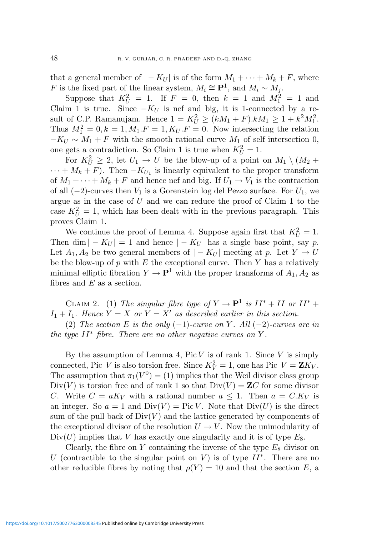that a general member of  $|-K_U|$  is of the form  $M_1 + \cdots + M_k + F$ , where F is the fixed part of the linear system,  $M_i \cong \mathbf{P}^1$ , and  $M_i \sim M_j$ .

Suppose that  $K_U^2 = 1$ . If  $F = 0$ , then  $k = 1$  and  $M_1^2 = 1$  and Claim 1 is true. Since  $-K_U$  is nef and big, it is 1-connected by a result of C.P. Ramanujam. Hence  $1 = K_U^2 \ge (kM_1 + F) \cdot kM_1 \ge 1 + k^2 M_1^2$ . Thus  $M_1^2 = 0, k = 1, M_1.F = 1, K_U.F = 0$ . Now intersecting the relation  $-K_U \sim M_1 + F$  with the smooth rational curve  $M_1$  of self intersection 0, one gets a contradiction. So Claim 1 is true when  $K_U^2 = 1$ .

For  $K_U^2 \geq 2$ , let  $U_1 \to U$  be the blow-up of a point on  $M_1 \setminus (M_2 +$  $\cdots + M_k + F$ ). Then  $-K_{U_1}$  is linearly equivalent to the proper transform of  $M_1 + \cdots + M_k + F$  and hence nef and big. If  $U_1 \rightarrow V_1$  is the contraction of all  $(-2)$ -curves then  $V_1$  is a Gorenstein log del Pezzo surface. For  $U_1$ , we argue as in the case of  $U$  and we can reduce the proof of Claim 1 to the case  $K_U^2 = 1$ , which has been dealt with in the previous paragraph. This proves Claim 1.

We continue the proof of Lemma 4. Suppose again first that  $K_U^2 = 1$ . Then dim  $|-K_U|=1$  and hence  $|-K_U|$  has a single base point, say p. Let  $A_1, A_2$  be two general members of  $|-K_U|$  meeting at p. Let  $Y \to U$ be the blow-up of  $p$  with  $E$  the exceptional curve. Then  $Y$  has a relatively minimal elliptic fibration  $Y \to \mathbf{P}^1$  with the proper transforms of  $A_1, A_2$  as fibres and  $E$  as a section.

CLAIM 2. (1) The singular fibre type of  $Y \to \mathbf{P}^1$  is  $II^* + II$  or  $II^* +$  $I_1 + I_1$ . Hence  $Y = X$  or  $Y = X'$  as described earlier in this section.

(2) The section E is the only  $(-1)$ -curve on Y. All  $(-2)$ -curves are in the type  $II^*$  fibre. There are no other negative curves on Y.

By the assumption of Lemma 4, Pic  $V$  is of rank 1. Since  $V$  is simply connected, Pic V is also torsion free. Since  $K_V^2 = 1$ , one has Pic  $V = \mathbf{Z}K_V$ . The assumption that  $\pi_1(V^0) = (1)$  implies that the Weil divisor class group  $Div(V)$  is torsion free and of rank 1 so that  $Div(V) = ZC$  for some divisor C. Write  $C = aK_V$  with a rational number  $a \leq 1$ . Then  $a = C.K_V$  is an integer. So  $a = 1$  and  $Div(V) = Pic V$ . Note that  $Div(U)$  is the direct sum of the pull back of  $Div(V)$  and the lattice generated by components of the exceptional divisor of the resolution  $U \to V$ . Now the unimodularity of  $Div(U)$  implies that V has exactly one singularity and it is of type  $E_8$ .

Clearly, the fibre on  $Y$  containing the inverse of the type  $E_8$  divisor on U (contractible to the singular point on V) is of type  $II^*$ . There are no other reducible fibres by noting that  $\rho(Y) = 10$  and that the section E, a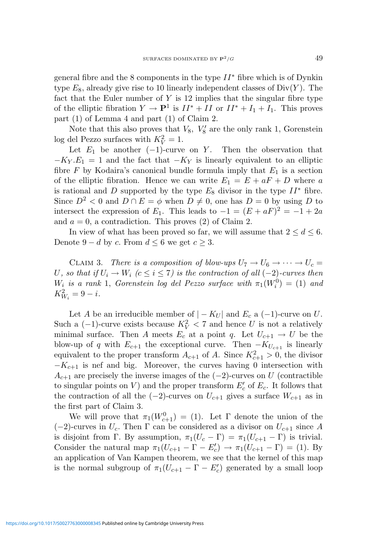general fibre and the 8 components in the type  $II^*$  fibre which is of Dynkin type  $E_8$ , already give rise to 10 linearly independent classes of  $Div(Y)$ . The fact that the Euler number of  $Y$  is 12 implies that the singular fibre type of the elliptic fibration  $Y \to \mathbf{P}^1$  is  $II^* + II$  or  $II^* + I_1 + I_1$ . This proves part (1) of Lemma 4 and part (1) of Claim 2.

Note that this also proves that  $V_8$ ,  $V'_8$  are the only rank 1, Gorenstein log del Pezzo surfaces with  $K_V^2 = 1$ .

Let  $E_1$  be another (−1)-curve on Y. Then the observation that  $-K_Y.E_1 = 1$  and the fact that  $-K_Y$  is linearly equivalent to an elliptic fibre  $F$  by Kodaira's canonical bundle formula imply that  $E_1$  is a section of the elliptic fibration. Hence we can write  $E_1 = E + aF + D$  where a is rational and D supported by the type  $E_8$  divisor in the type  $II^*$  fibre. Since  $D^2 < 0$  and  $D \cap E = \phi$  when  $D \neq 0$ , one has  $D = 0$  by using D to intersect the expression of  $E_1$ . This leads to  $-1 = (E + aF)^2 = -1 + 2a$ and  $a = 0$ , a contradiction. This proves (2) of Claim 2.

In view of what has been proved so far, we will assume that  $2 \le d \le 6$ . Denote  $9 - d$  by c. From  $d \leq 6$  we get  $c \geq 3$ .

CLAIM 3. There is a composition of blow-ups  $U_7 \rightarrow U_6 \rightarrow \cdots \rightarrow U_c =$ U, so that if  $U_i \to W_i$  ( $c \leq i \leq 7$ ) is the contraction of all (-2)-curves then W<sub>i</sub> is a rank 1, Gorenstein log del Pezzo surface with  $\pi_1(W_i^0) = (1)$  and  $K_{W_i}^2 = 9 - i.$ 

Let A be an irreducible member of  $|-K_U|$  and  $E_c$  a  $(-1)$ -curve on U. Such a  $(-1)$ -curve exists because  $K_V^2 < 7$  and hence U is not a relatively minimal surface. Then A meets  $E_c$  at a point q. Let  $U_{c+1} \to U$  be the blow-up of q with  $E_{c+1}$  the exceptional curve. Then  $-K_{U_{c+1}}$  is linearly equivalent to the proper transform  $A_{c+1}$  of A. Since  $K_{c+1}^2 > 0$ , the divisor  $-K_{c+1}$  is nef and big. Moreover, the curves having 0 intersection with  $A_{c+1}$  are precisely the inverse images of the (−2)-curves on U (contractible to singular points on V) and the proper transform  $E_c'$  of  $E_c$ . It follows that the contraction of all the  $(-2)$ -curves on  $U_{c+1}$  gives a surface  $W_{c+1}$  as in the first part of Claim 3.

We will prove that  $\pi_1(W_{c+1}^0) = (1)$ . Let  $\Gamma$  denote the union of the  $(-2)$ -curves in  $U_c$ . Then  $\Gamma$  can be considered as a divisor on  $U_{c+1}$  since A is disjoint from Γ. By assumption,  $\pi_1(U_c - \Gamma) = \pi_1(U_{c+1} - \Gamma)$  is trivial. Consider the natural map  $\pi_1(U_{c+1} - \Gamma - E'_c) \to \pi_1(U_{c+1} - \Gamma) = (1)$ . By an application of Van Kampen theorem, we see that the kernel of this map is the normal subgroup of  $\pi_1(U_{c+1} - \Gamma - E'_c)$  generated by a small loop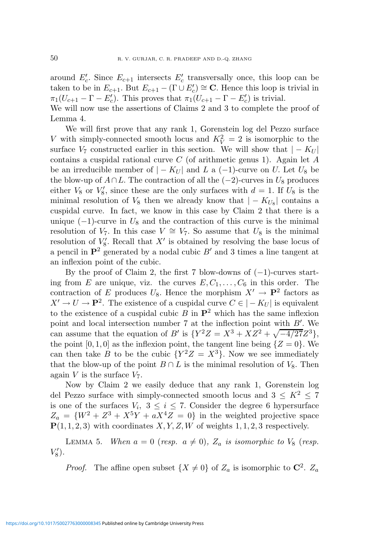around  $E_c'$ . Since  $E_{c+1}$  intersects  $E_c'$  transversally once, this loop can be taken to be in  $E_{c+1}$ . But  $E_{c+1} - (\Gamma \cup E'_c) \cong \mathbf{C}$ . Hence this loop is trivial in  $\pi_1(U_{c+1}-\Gamma-E'_c)$ . This proves that  $\pi_1(U_{c+1}-\Gamma-E'_c)$  is trivial. We will now use the assertions of Claims 2 and 3 to complete the proof of

We will first prove that any rank 1, Gorenstein log del Pezzo surface V with simply-connected smooth locus and  $K_V^2 = 2$  is isomorphic to the surface  $V_7$  constructed earlier in this section. We will show that  $|-K_U|$ contains a cuspidal rational curve  $C$  (of arithmetic genus 1). Again let  $A$ be an irreducible member of  $|-K_U|$  and L a  $(-1)$ -curve on U. Let  $U_8$  be the blow-up of  $A \cap L$ . The contraction of all the  $(-2)$ -curves in  $U_8$  produces either  $V_8$  or  $V'_8$ , since these are the only surfaces with  $d=1$ . If  $U_8$  is the minimal resolution of  $V_8$  then we already know that  $|-K_{U_8}|$  contains a cuspidal curve. In fact, we know in this case by Claim 2 that there is a unique  $(-1)$ -curve in  $U_8$  and the contraction of this curve is the minimal resolution of  $V_7$ . In this case  $V \cong V_7$ . So assume that  $U_8$  is the minimal resolution of  $V_8'$ . Recall that  $X'$  is obtained by resolving the base locus of a pencil in  $\mathbf{P}^2$  generated by a nodal cubic  $B'$  and 3 times a line tangent at an inflexion point of the cubic.

By the proof of Claim 2, the first 7 blow-downs of  $(-1)$ -curves starting from E are unique, viz. the curves  $E, C_1, \ldots, C_6$  in this order. The contraction of E produces  $U_8$ . Hence the morphism  $X' \to \mathbf{P}^2$  factors as  $X' \to U \to \mathbf{P}^2$ . The existence of a cuspidal curve  $C \in |-K_U|$  is equivalent to the existence of a cuspidal cubic  $B$  in  $\mathbf{P}^2$  which has the same inflexion point and local intersection number 7 at the inflection point with  $B'$ . We can assume that the equation of B' is  $\{Y^2Z = X^3 + XZ^2 + \sqrt{-4/27}Z^3\}$ , the point  $[0, 1, 0]$  as the inflexion point, the tangent line being  $\{Z = 0\}$ . We can then take B to be the cubic  $\{Y^2Z = X^3\}$ . Now we see immediately that the blow-up of the point  $B \cap L$  is the minimal resolution of  $V_8$ . Then again V is the surface  $V_7$ .

Now by Claim 2 we easily deduce that any rank 1, Gorenstein log del Pezzo surface with simply-connected smooth locus and  $3 \leq K^2 < 7$ is one of the surfaces  $V_i$ ,  $3 \leq i \leq 7$ . Consider the degree 6 hypersurface  $Z_a = \{W^2 + Z^3 + X^5Y + aX^4Z = 0\}$  in the weighted projective space  $P(1, 1, 2, 3)$  with coordinates  $X, Y, Z, W$  of weights 1, 1, 2, 3 respectively.

LEMMA 5. When  $a = 0$  (resp.  $a \neq 0$ ),  $Z_a$  is isomorphic to  $V_8$  (resp.  $V'_{8}$ ).

*Proof.* The affine open subset  $\{X \neq 0\}$  of  $Z_a$  is isomorphic to  $\mathbb{C}^2$ .  $Z_a$ 

Lemma 4.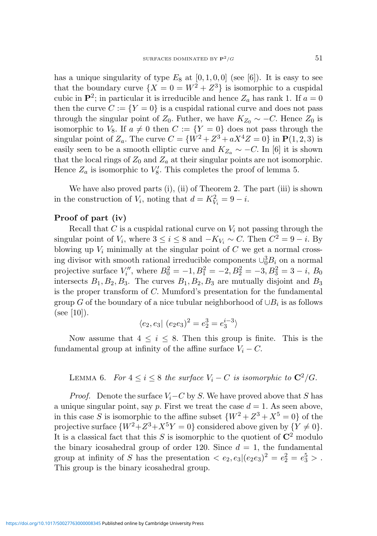has a unique singularity of type  $E_8$  at  $[0, 1, 0, 0]$  (see [6]). It is easy to see that the boundary curve  $\{X = 0 = W^2 + Z^3\}$  is isomorphic to a cuspidal cubic in  $\mathbf{P}^2$ ; in particular it is irreducible and hence  $Z_a$  has rank 1. If  $a = 0$ then the curve  $C := \{Y = 0\}$  is a cuspidal rational curve and does not pass through the singular point of  $Z_0$ . Futher, we have  $K_{Z_0} \sim -C$ . Hence  $Z_0$  is isomorphic to  $V_8$ . If  $a \neq 0$  then  $C := \{Y = 0\}$  does not pass through the singular point of  $Z_a$ . The curve  $C = \{W^2 + Z^3 + aX^4Z = 0\}$  in  ${\bf P}(1,2,3)$  is easily seen to be a smooth elliptic curve and  $K_{Z_a} \sim -C$ . In [6] it is shown that the local rings of  $Z_0$  and  $Z_a$  at their singular points are not isomorphic. Hence  $Z_a$  is isomorphic to  $V_8'$ . This completes the proof of lemma 5.

We have also proved parts (i), (ii) of Theorem 2. The part (iii) is shown in the construction of  $V_i$ , noting that  $d = K_{V_i}^2 = 9 - i$ .

### Proof of part (iv)

Recall that C is a cuspidal rational curve on  $V_i$  not passing through the singular point of  $V_i$ , where  $3 \le i \le 8$  and  $-K_{V_i} \sim C$ . Then  $C^2 = 9 - i$ . By blowing up  $V_i$  minimally at the singular point of  $C$  we get a normal crossing divisor with smooth rational irreducible components  $\cup_0^3 B_i$  on a normal projective surface  $V''_i$ , where  $B_0^2 = -1, B_1^2 = -2, B_2^2 = -3, B_3^2 = 3 - i, B_0$ intersects  $B_1, B_2, B_3$ . The curves  $B_1, B_2, B_3$  are mutually disjoint and  $B_3$ is the proper transform of C. Mumford's presentation for the fundamental group  $G$  of the boundary of a nice tubular neighborhood of  $\cup B_i$  is as follows  $(see [10]).$ 

$$
\langle e_2,e_3| \ (e_2e_3)^2=e_2^3=e_3^{i-3}\rangle
$$

Now assume that  $4 \leq i \leq 8$ . Then this group is finite. This is the fundamental group at infinity of the affine surface  $V_i - C$ .

LEMMA 6. For  $4 \leq i \leq 8$  the surface  $V_i - C$  is isomorphic to  $\mathbb{C}^2/G$ .

*Proof.* Denote the surface  $V_i-C$  by S. We have proved above that S has a unique singular point, say p. First we treat the case  $d = 1$ . As seen above, in this case S is isomorphic to the affine subset  $\{W^2 + Z^3 + X^5 = 0\}$  of the projective surface  $\{W^2 + Z^3 + X^5Y = 0\}$  considered above given by  $\{Y \neq 0\}.$ It is a classical fact that this S is isomorphic to the quotient of  $\mathbb{C}^2$  modulo the binary icosahedral group of order 120. Since  $d = 1$ , the fundamental group at infinity of S has the presentation  $\langle e_2, e_3 | (e_2 e_3)^2 = e_2^2 = e_3^5 \rangle$ . This group is the binary icosahedral group.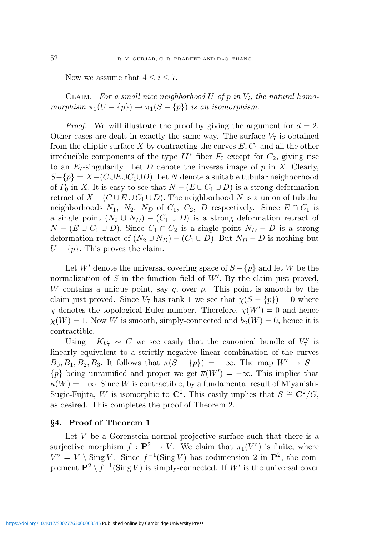Now we assume that  $4 \leq i \leq 7$ .

CLAIM. For a small nice neighborhood U of  $p$  in  $V_i$ , the natural homomorphism  $\pi_1(U - \{p\}) \to \pi_1(S - \{p\})$  is an isomorphism.

*Proof.* We will illustrate the proof by giving the argument for  $d = 2$ . Other cases are dealt in exactly the same way. The surface  $V_7$  is obtained from the elliptic surface X by contracting the curves  $E, C_1$  and all the other irreducible components of the type  $II^*$  fiber  $F_0$  except for  $C_2$ , giving rise to an  $E_7$ -singularity. Let D denote the inverse image of p in X. Clearly,  $S-\{p\} = X-(C\cup E\cup C_1\cup D)$ . Let N denote a suitable tubular neighborhood of  $F_0$  in X. It is easy to see that  $N - (E \cup C_1 \cup D)$  is a strong deformation retract of  $X - (C \cup E \cup C_1 \cup D)$ . The neighborhood N is a union of tubular neighborhoods  $N_1$ ,  $N_2$ ,  $N_D$  of  $C_1$ ,  $C_2$ ,  $D$  respectively. Since  $E \cap C_1$  is a single point  $(N_2 \cup N_D) - (C_1 \cup D)$  is a strong deformation retract of  $N - (E \cup C_1 \cup D)$ . Since  $C_1 \cap C_2$  is a single point  $N_D - D$  is a strong deformation retract of  $(N_2 \cup N_D) - (C_1 \cup D)$ . But  $N_D - D$  is nothing but  $U - \{p\}$ . This proves the claim.

Let W' denote the universal covering space of  $S - \{p\}$  and let W be the normalization of  $S$  in the function field of  $W'$ . By the claim just proved, W contains a unique point, say  $q$ , over  $p$ . This point is smooth by the claim just proved. Since  $V_7$  has rank 1 we see that  $\chi(S - \{p\}) = 0$  where  $\chi$  denotes the topological Euler number. Therefore,  $\chi(W') = 0$  and hence  $\chi(W) = 1$ . Now W is smooth, simply-connected and  $b_2(W) = 0$ , hence it is contractible.

Using  $-K_{V_7} \sim C$  we see easily that the canonical bundle of  $V_7''$  is linearly equivalent to a strictly negative linear combination of the curves  $B_0, B_1, B_2, B_3$ . It follows that  $\overline{\kappa}(S - \{p\}) = -\infty$ . The map  $W' \to S$  –  ${p}$  being unramified and proper we get  $\overline{\kappa}(W') = -\infty$ . This implies that  $\overline{\kappa}(W) = -\infty$ . Since W is contractible, by a fundamental result of Miyanishi-Sugie-Fujita, W is isomorphic to  $\mathbb{C}^2$ . This easily implies that  $S \cong \mathbb{C}^2/G$ , as desired. This completes the proof of Theorem 2.

#### §4. Proof of Theorem 1

Let  $V$  be a Gorenstein normal projective surface such that there is a surjective morphism  $f: \mathbf{P}^2 \to V$ . We claim that  $\pi_1(V^{\circ})$  is finite, where  $V^{\circ} = V \setminus \text{Sing } V$ . Since  $f^{-1}(\text{Sing } V)$  has codimension 2 in  $\mathbb{P}^2$ , the complement  $\mathbf{P}^2 \setminus f^{-1}(\text{Sing } V)$  is simply-connected. If  $W'$  is the universal cover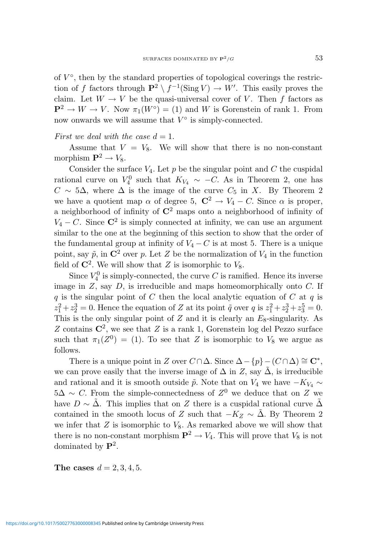of  $V^{\circ}$ , then by the standard properties of topological coverings the restriction of f factors through  $\mathbf{P}^2 \setminus f^{-1}(\text{Sing } V) \to W'$ . This easily proves the claim. Let  $W \to V$  be the quasi-universal cover of V. Then f factors as  $\mathbf{P}^2 \to W \to V$ . Now  $\pi_1(W^{\circ}) = (1)$  and W is Gorenstein of rank 1. From now onwards we will assume that  $V^{\circ}$  is simply-connected.

#### First we deal with the case  $d = 1$ .

Assume that  $V = V_8$ . We will show that there is no non-constant morphism  $\mathbf{P}^2 \to V_8$ .

Consider the surface  $V_4$ . Let p be the singular point and C the cuspidal rational curve on  $V_4^0$  such that  $K_{V_4} \sim -C$ . As in Theorem 2, one has  $C \sim 5\Delta$ , where  $\Delta$  is the image of the curve  $C_5$  in X. By Theorem 2 we have a quotient map  $\alpha$  of degree 5,  $\mathbb{C}^2 \to V_4 - C$ . Since  $\alpha$  is proper, a neighborhood of infinity of  $\mathbb{C}^2$  maps onto a neighborhood of infinity of  $V_4 - C$ . Since  $\mathbb{C}^2$  is simply connected at infinity, we can use an argument similar to the one at the beginning of this section to show that the order of the fundamental group at infinity of  $V_4 - C$  is at most 5. There is a unique point, say  $\tilde{p}$ , in  $\mathbb{C}^2$  over p. Let Z be the normalization of  $V_4$  in the function field of  $\mathbb{C}^2$ . We will show that Z is isomorphic to  $V_8$ .

Since  $V_4^0$  is simply-connected, the curve C is ramified. Hence its inverse image in  $Z$ , say  $D$ , is irreducible and maps homeomorphically onto  $C$ . If  $q$  is the singular point of C then the local analytic equation of C at  $q$  is  $z_1^2 + z_2^3 = 0$ . Hence the equation of Z at its point  $\tilde{q}$  over q is  $z_1^2 + z_2^3 + z_3^5 = 0$ . This is the only singular point of  $Z$  and it is clearly an  $E_8$ -singularity. As Z contains  $\mathbb{C}^2$ , we see that Z is a rank 1, Gorenstein log del Pezzo surface such that  $\pi_1(Z^0) = (1)$ . To see that Z is isomorphic to  $V_8$  we argue as follows.

There is a unique point in Z over  $C \cap \Delta$ . Since  $\Delta - \{p\} - (C \cap \Delta) \cong \mathbb{C}^*$ , we can prove easily that the inverse image of  $\Delta$  in Z, say  $\tilde{\Delta}$ , is irreducible and rational and it is smooth outside  $\tilde{p}$ . Note that on  $V_4$  we have  $-K_{V_4} \sim$  $5\Delta \sim C$ . From the simple-connectedness of  $Z^0$  we deduce that on Z we have  $D \sim \Delta$ . This implies that on Z there is a cuspidal rational curve  $\Delta$ contained in the smooth locus of Z such that  $-K_Z \sim \tilde{\Delta}$ . By Theorem 2 we infer that  $Z$  is isomorphic to  $V_8$ . As remarked above we will show that there is no non-constant morphism  $\mathbf{P}^2 \to V_4$ . This will prove that  $V_8$  is not dominated by  $\mathbf{P}^2$ .

The cases  $d = 2, 3, 4, 5$ .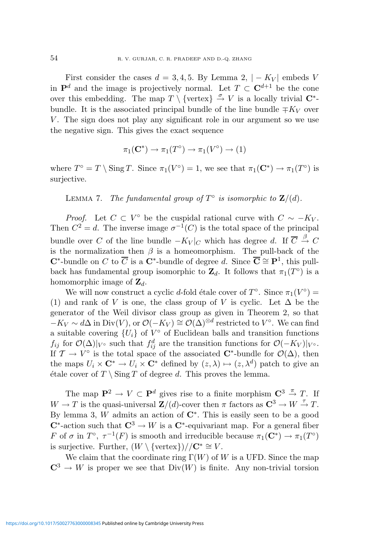First consider the cases  $d = 3, 4, 5$ . By Lemma 2,  $|-K_V|$  embeds V in  $\mathbf{P}^d$  and the image is projectively normal. Let  $T \subset \mathbf{C}^{d+1}$  be the cone over this embedding. The map  $T \setminus {\text{vertex}} \overset{\sigma}{\to} V$  is a locally trivial  $\mathbb{C}^*$ bundle. It is the associated principal bundle of the line bundle  $\mp K_V$  over  $V$ . The sign does not play any significant role in our argument so we use the negative sign. This gives the exact sequence

$$
\pi_1(\mathbf{C}^*) \to \pi_1(T^{\circ}) \to \pi_1(V^{\circ}) \to (1)
$$

where  $T^{\circ} = T \setminus \text{Sing } T$ . Since  $\pi_1(V^{\circ}) = 1$ , we see that  $\pi_1(\mathbf{C}^*) \to \pi_1(T^{\circ})$  is surjective.

LEMMA 7. The fundamental group of  $T^{\circ}$  is isomorphic to  $\mathbf{Z}/(d)$ .

*Proof.* Let  $C \subset V^{\circ}$  be the cuspidal rational curve with  $C \sim -K_V$ . Then  $C^2 = d$ . The inverse image  $\sigma^{-1}(C)$  is the total space of the principal bundle over C of the line bundle  $-K_V|_C$  which has degree d. If  $\overline{C} \stackrel{\beta}{\rightarrow} C$ is the normalization then  $\beta$  is a homeomorphism. The pull-back of the **C**<sup>\*</sup>-bundle on C to  $\overline{C}$  is a **C**<sup>\*</sup>-bundle of degree d. Since  $\overline{C} \cong P^1$ , this pullback has fundamental group isomorphic to  $\mathbb{Z}_d$ . It follows that  $\pi_1(T^{\circ})$  is a homomorphic image of  $\mathbf{Z}_d$ .

We will now construct a cyclic d-fold étale cover of  $T^{\circ}$ . Since  $\pi_1(V^{\circ}) =$ (1) and rank of V is one, the class group of V is cyclic. Let  $\Delta$  be the generator of the Weil divisor class group as given in Theorem 2, so that  $-K_V \sim d\Delta$  in Div(V), or  $\mathcal{O}(-K_V) \cong \mathcal{O}(\Delta)^{\otimes d}$  restricted to  $V^{\circ}$ . We can find a suitable covering  ${U_i}$  of  $V^{\circ}$  of Euclidean balls and transition functions  $f_{ij}$  for  $\mathcal{O}(\Delta)|_{V^{\circ}}$  such that  $f_{ij}^d$  are the transition functions for  $\mathcal{O}(-K_V)|_{V^{\circ}}$ . If  $\mathcal{T} \to V^{\circ}$  is the total space of the associated  $\mathbb{C}^*$ -bundle for  $\mathcal{O}(\Delta)$ , then the maps  $U_i \times \mathbf{C}^* \to U_i \times \mathbf{C}^*$  defined by  $(z, \lambda) \mapsto (z, \lambda^d)$  patch to give an étale cover of  $T \setminus \text{Sing } T$  of degree d. This proves the lemma.

The map  $\mathbf{P}^2 \to V \subset \mathbf{P}^d$  gives rise to a finite morphism  $\mathbf{C}^3 \stackrel{\pi}{\to} T$ . If  $W \to T$  is the quasi-universal  $\mathbf{Z}/(d)$ -cover then  $\pi$  factors as  $\mathbf{C}^3 \to W \to T$ . By lemma 3, W admits an action of  $\mathbb{C}^*$ . This is easily seen to be a good  $\mathbb{C}^*$ -action such that  $\mathbb{C}^3 \to W$  is a  $\mathbb{C}^*$ -equivariant map. For a general fiber F of  $\sigma$  in  $T^{\circ}$ ,  $\tau^{-1}(F)$  is smooth and irreducible because  $\pi_1(\mathbf{C}^*) \to \pi_1(T^{\circ})$ is surjective. Further,  $(W \setminus {\text{vertex}}}) // C^* \cong V$ .

We claim that the coordinate ring  $\Gamma(W)$  of W is a UFD. Since the map  $\mathbb{C}^3 \to W$  is proper we see that  $Div(W)$  is finite. Any non-trivial torsion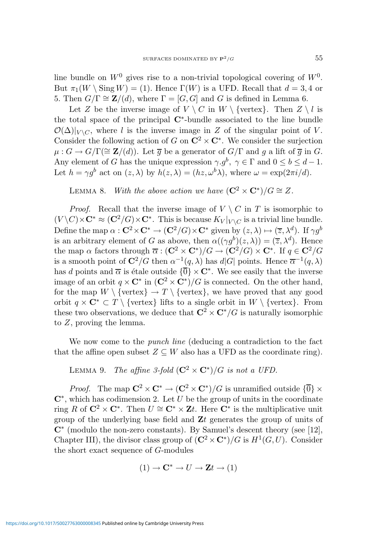line bundle on  $W^0$  gives rise to a non-trivial topological covering of  $W^0$ . But  $\pi_1(W \setminus \text{Sing } W) = (1)$ . Hence  $\Gamma(W)$  is a UFD. Recall that  $d = 3, 4$  or 5. Then  $G/\Gamma \cong \mathbf{Z}/(d)$ , where  $\Gamma = [G, G]$  and G is defined in Lemma 6.

Let Z be the inverse image of  $V \setminus C$  in  $W \setminus \{\text{vertex}\}\$ . Then  $Z \setminus l$  is the total space of the principal C<sup>∗</sup> -bundle associated to the line bundle  $\mathcal{O}(\Delta)|_{V \setminus C}$ , where l is the inverse image in Z of the singular point of V. Consider the following action of G on  $\mathbb{C}^2 \times \mathbb{C}^*$ . We consider the surjection  $\mu: G \to G/\Gamma(\cong {\bf Z}/(d)).$  Let  $\overline{g}$  be a generator of  $G/\Gamma$  and g a lift of  $\overline{g}$  in G. Any element of G has the unique expression  $\gamma.g^b$ ,  $\gamma \in \Gamma$  and  $0 \leq b \leq d-1$ . Let  $h = \gamma g^b$  act on  $(z, \lambda)$  by  $h(z, \lambda) = (hz, \omega^b \lambda)$ , where  $\omega = \exp(2\pi i/d)$ .

LEMMA 8. With the above action we have  $(\mathbf{C}^2 \times \mathbf{C}^*)/G \cong Z$ .

*Proof.* Recall that the inverse image of  $V \setminus C$  in T is isomorphic to  $(V \backslash C) \times \mathbf{C}^* \approx (\mathbf{C}^2/G) \times \mathbf{C}^*$ . This is because  $K_V|_{V \backslash C}$  is a trivial line bundle. Define the map  $\alpha$  :  $\mathbf{C}^2 \times \mathbf{C}^* \to (\mathbf{C}^2/G) \times \mathbf{C}^*$  given by  $(z, \lambda) \mapsto (\overline{z}, \lambda^d)$ . If  $\gamma g^b$ is an arbitrary element of G as above, then  $\alpha((\gamma g^b)(z,\lambda)) = (\overline{z}, \lambda^d)$ . Hence the map  $\alpha$  factors through  $\overline{\alpha}$  :  $(\mathbf{C}^2 \times \mathbf{C}^*)/G \to (\mathbf{C}^2/G) \times \mathbf{C}^*$ . If  $q \in \mathbf{C}^2/G$ is a smooth point of  $\mathbb{C}^2/G$  then  $\alpha^{-1}(q,\lambda)$  has  $d|G|$  points. Hence  $\overline{\alpha}^{-1}(q,\lambda)$ has d points and  $\overline{\alpha}$  is étale outside  ${\overline{0}} \times {\bf C}^*$ . We see easily that the inverse image of an orbit  $q \times \mathbb{C}^*$  in  $(\mathbb{C}^2 \times \mathbb{C}^*)/G$  is connected. On the other hand, for the map  $W \setminus {\text{vertex}} \to T \setminus {\text{vertex}}$ , we have proved that any good orbit  $q \times \mathbb{C}^* \subset T \setminus \{\text{vertex}\}\$ lifts to a single orbit in  $W \setminus \{\text{vertex}\}\$ . From these two observations, we deduce that  $\mathbb{C}^2 \times \mathbb{C}^*/G$  is naturally isomorphic to Z, proving the lemma.

We now come to the punch line (deducing a contradiction to the fact that the affine open subset  $Z \subseteq W$  also has a UFD as the coordinate ring).

LEMMA 9. The affine 3-fold  $(\mathbf{C}^2 \times \mathbf{C}^*)/G$  is not a UFD.

*Proof.* The map  $\mathbb{C}^2 \times \mathbb{C}^* \to (\mathbb{C}^2 \times \mathbb{C}^*)/G$  is unramified outside  $\{\overline{0}\} \times$  $\mathbb{C}^*$ , which has codimension 2. Let U be the group of units in the coordinate ring R of  $\mathbb{C}^2 \times \mathbb{C}^*$ . Then  $U \cong \mathbb{C}^* \times \mathbb{Z}$ t. Here  $\mathbb{C}^*$  is the multiplicative unit group of the underlying base field and  $Zt$  generates the group of units of  $\mathbb{C}^*$  (modulo the non-zero constants). By Samuel's descent theory (see [12], Chapter III), the divisor class group of  $(\mathbb{C}^2 \times \mathbb{C}^*)/G$  is  $H^1(G, U)$ . Consider the short exact sequence of G-modules

$$
(1) \to \mathbf{C}^* \to U \to \mathbf{Z}t \to (1)
$$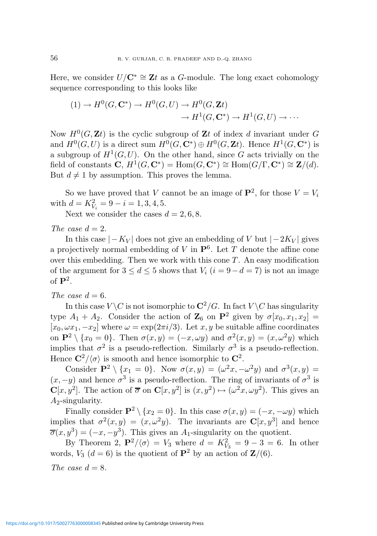Here, we consider  $U/\mathbf{C}^* \cong \mathbf{Z}t$  as a G-module. The long exact cohomology sequence corresponding to this looks like

$$
(1) \to H^0(G, \mathbf{C}^*) \to H^0(G, U) \to H^0(G, \mathbf{Z}t)
$$

$$
\to H^1(G, \mathbf{C}^*) \to H^1(G, U) \to \cdots
$$

Now  $H^0(G,\mathbf{Z}t)$  is the cyclic subgroup of  $\mathbf{Z}t$  of index d invariant under G and  $H^0(G, U)$  is a direct sum  $H^0(G, \mathbb{C}^*) \oplus H^0(G, \mathbb{Z}^*)$ . Hence  $H^1(G, \mathbb{C}^*)$  is a subgroup of  $H^1(G, U)$ . On the other hand, since G acts trivially on the field of constants  $\mathbf{C}, H^1(G, \mathbf{C}^*) = \text{Hom}(G, \mathbf{C}^*) \cong \text{Hom}(G/\Gamma, \mathbf{C}^*) \cong \mathbf{Z}/(d)$ . But  $d \neq 1$  by assumption. This proves the lemma.

So we have proved that V cannot be an image of  $\mathbf{P}^2$ , for those  $V = V_i$ with  $d = K_{V_i}^2 = 9 - i = 1, 3, 4, 5$ .

Next we consider the cases  $d = 2, 6, 8$ .

The case  $d=2$ .

In this case  $|-K_V|$  does not give an embedding of V but  $|-2K_V|$  gives a projectively normal embedding of V in  $\mathbf{P}^6$ . Let T denote the affine cone over this embedding. Then we work with this cone  $T$ . An easy modification of the argument for  $3 \leq d \leq 5$  shows that  $V_i$   $(i = 9-d = 7)$  is not an image of  $\mathbf{P}^2$ .

### The case  $d = 6$ .

In this case  $V \backslash C$  is not isomorphic to  $\mathbb{C}^2/G$ . In fact  $V \backslash C$  has singularity type  $A_1 + A_2$ . Consider the action of  $\mathbb{Z}_6$  on  $\mathbb{P}^2$  given by  $\sigma[x_0, x_1, x_2] =$  $[x_0, \omega x_1, -x_2]$  where  $\omega = \exp(2\pi i/3)$ . Let  $x, y$  be suitable affine coordinates on  $\mathbf{P}^2 \setminus \{x_0 = 0\}$ . Then  $\sigma(x, y) = (-x, \omega y)$  and  $\sigma^2(x, y) = (x, \omega^2 y)$  which implies that  $\sigma^2$  is a pseudo-reflection. Similarly  $\sigma^3$  is a pseudo-reflection. Hence  $\mathbf{C}^2/\langle \sigma \rangle$  is smooth and hence isomorphic to  $\mathbf{C}^2$ .

Consider  $\mathbf{P}^2 \setminus \{x_1 = 0\}$ . Now  $\sigma(x, y) = (\omega^2 x, -\omega^2 y)$  and  $\sigma^3(x, y) =$  $(x, -y)$  and hence  $\sigma^3$  is a pseudo-reflection. The ring of invariants of  $\sigma^3$  is  $\mathbf{C}[x,y^2]$ . The action of  $\overline{\sigma}$  on  $\mathbf{C}[x,y^2]$  is  $(x,y^2) \mapsto (\omega^2 x, \omega y^2)$ . This gives an  $A_2$ -singularity.

Finally consider  $\mathbf{P}^2 \setminus \{x_2 = 0\}$ . In this case  $\sigma(x, y) = (-x, -\omega y)$  which implies that  $\sigma^2(x,y) = (x,\omega^2 y)$ . The invariants are  $\mathbb{C}[x,y^3]$  and hence  $\overline{\sigma}(x, y^3) = (-x, -y^3)$ . This gives an A<sub>1</sub>-singularity on the quotient.

By Theorem 2,  $\mathbf{P}^2/\langle \sigma \rangle = V_3$  where  $d = K_{V_3}^2 = 9 - 3 = 6$ . In other words,  $V_3$  ( $d = 6$ ) is the quotient of  $\mathbf{P}^2$  by an action of  $\mathbf{Z}/(6)$ .

The case  $d = 8$ .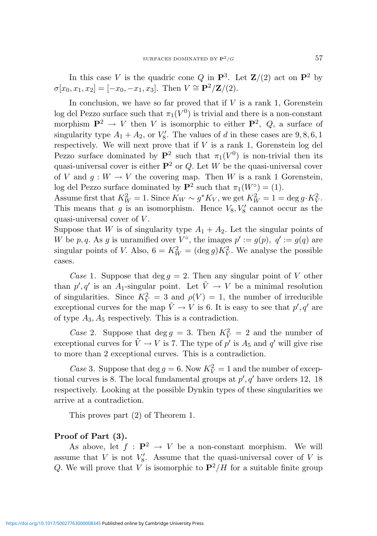In this case V is the quadric cone Q in  $\mathbf{P}^3$ . Let  $\mathbf{Z}/(2)$  act on  $\mathbf{P}^2$  by  $\sigma[x_0, x_1, x_2] = [-x_0, -x_1, x_3]$ . Then  $V \cong \mathbf{P}^2/\mathbf{Z}/(2)$ .

In conclusion, we have so far proved that if  $V$  is a rank 1, Gorenstein log del Pezzo surface such that  $\pi_1(V^0)$  is trivial and there is a non-constant morphism  $\mathbf{P}^2 \to V$  then V is isomorphic to either  $\mathbf{P}^2$ , Q, a surface of singularity type  $A_1 + A_2$ , or  $V_8'$ . The values of d in these cases are  $9, 8, 6, 1$ respectively. We will next prove that if  $V$  is a rank 1, Gorenstein log del Pezzo surface dominated by  $\mathbf{P}^2$  such that  $\pi_1(V^0)$  is non-trivial then its quasi-universal cover is either  $\mathbf{P}^2$  or Q. Let W be the quasi-universal cover of V and  $g: W \to V$  the covering map. Then W is a rank 1 Gorenstein, log del Pezzo surface dominated by  $\mathbf{P}^2$  such that  $\pi_1(W^{\circ}) = (1)$ .

Assume first that  $K_W^2 = 1$ . Since  $K_W \sim g^* K_V$ , we get  $K_W^2 = 1 = \deg g \cdot K_V^2$ . This means that g is an isomorphism. Hence  $V_8, V'_8$  cannot occur as the quasi-universal cover of V .

Suppose that W is of singularity type  $A_1 + A_2$ . Let the singular points of W be p, q. As g is unramified over  $V^{\circ}$ , the images  $p' := g(p)$ ,  $q' := g(q)$  are singular points of *V*. Also,  $6 = K_W^2 = (\deg g)K_V^2$ . We analyse the possible cases.

Case 1. Suppose that deg  $q = 2$ . Then any singular point of V other than  $p', q'$  is an A<sub>1</sub>-singular point. Let  $\tilde{V} \to V$  be a minimal resolution of singularities. Since  $K_V^2 = 3$  and  $\rho(V) = 1$ , the number of irreducible exceptional curves for the map  $\tilde{V} \to V$  is 6. It is easy to see that  $p', q'$  are of type  $A_3, A_5$  respectively. This is a contradiction.

Case 2. Suppose that  $\deg g = 3$ . Then  $K_V^2 = 2$  and the number of exceptional curves for  $\tilde{V} \to V$  is 7. The type of  $p'$  is  $A_5$  and  $q'$  will give rise to more than 2 exceptional curves. This is a contradiction.

Case 3. Suppose that  $\deg g = 6$ . Now  $K_V^2 = 1$  and the number of exceptional curves is 8. The local fundamental groups at  $p', q'$  have orders 12, 18 respectively. Looking at the possible Dynkin types of these singularities we arrive at a contradiction.

This proves part (2) of Theorem 1.

## Proof of Part (3).

As above, let  $f : \mathbf{P}^2 \to V$  be a non-constant morphism. We will assume that V is not  $V_8'$ . Assume that the quasi-universal cover of V is Q. We will prove that V is isomorphic to  $\mathbf{P}^2/H$  for a suitable finite group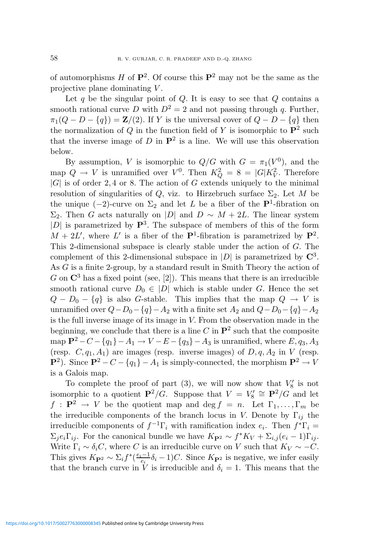of automorphisms H of  $\mathbf{P}^2$ . Of course this  $\mathbf{P}^2$  may not be the same as the projective plane dominating  $V$ .

Let  $q$  be the singular point of  $Q$ . It is easy to see that  $Q$  contains a smooth rational curve D with  $D^2 = 2$  and not passing through q. Further,  $\pi_1(Q - D - \{q\}) = \mathbf{Z}/(2)$ . If Y is the universal cover of  $Q - D - \{q\}$  then the normalization of Q in the function field of Y is isomorphic to  $\mathbf{P}^2$  such that the inverse image of D in  $\mathbf{P}^2$  is a line. We will use this observation below.

By assumption, V is isomorphic to  $Q/G$  with  $G = \pi_1(V^0)$ , and the map  $Q \to V$  is unramified over  $V^0$ . Then  $K_Q^2 = 8 = |G|K_V^2$ . Therefore  $|G|$  is of order 2,4 or 8. The action of G extends uniquely to the minimal resolution of singularities of Q, viz. to Hirzebruch surface  $\Sigma_2$ . Let M be the unique  $(-2)$ -curve on  $\Sigma_2$  and let L be a fiber of the  $\mathbf{P}^1$ -fibration on  $\Sigma_2$ . Then G acts naturally on |D| and D ∼ M + 2L. The linear system  $|D|$  is parametrized by  $\mathbf{P}^3$ . The subspace of members of this of the form  $M + 2L'$ , where L' is a fiber of the P<sup>1</sup>-fibration is parametrized by P<sup>2</sup>. This 2-dimensional subspace is clearly stable under the action of G. The complement of this 2-dimensional subspace in  $|D|$  is parametrized by  $\mathbb{C}^3$ . As G is a finite 2-group, by a standard result in Smith Theory the action of G on  $\mathbb{C}^3$  has a fixed point (see, [2]). This means that there is an irreducible smooth rational curve  $D_0 \in |D|$  which is stable under G. Hence the set  $Q - D_0 - \{q\}$  is also G-stable. This implies that the map  $Q \rightarrow V$  is unramified over  $Q-D_0-\lbrace q \rbrace-A_2$  with a finite set  $A_2$  and  $Q-D_0-\lbrace q \rbrace-A_2$ is the full inverse image of its image in V. From the observation made in the beginning, we conclude that there is a line C in  $\mathbf{P}^2$  such that the composite map  $\mathbf{P}^2 - C - {q_1} - A_1 \rightarrow V - E - {q_3} - A_3$  is unramified, where  $E, q_3, A_3$ (resp.  $C, q_1, A_1$ ) are images (resp. inverse images) of  $D, q, A_2$  in V (resp.  $\mathbf{P}^2$ ). Since  $\mathbf{P}^2 - C - \{q_1\} - A_1$  is simply-connected, the morphism  $\mathbf{P}^2 \to V$ is a Galois map.

To complete the proof of part  $(3)$ , we will now show that  $V'_8$  is not isomorphic to a quotient  $\mathbf{P}^2/G$ . Suppose that  $V = V_8' \cong \mathbf{P}^2/G$  and let  $f : \mathbf{P}^2 \to V$  be the quotient map and deg  $f = n$ . Let  $\Gamma_1, \ldots, \Gamma_m$  be the irreducible components of the branch locus in V. Denote by  $\Gamma_{ij}$  the irreducible components of  $f^{-1}\Gamma_i$  with ramification index  $e_i$ . Then  $f^*\Gamma_i =$  $\Sigma_j e_i \Gamma_{ij}$ . For the canonical bundle we have  $K_{\mathbf{P}^2} \sim f^* K_V + \Sigma_{i,j} (e_i - 1) \Gamma_{ij}$ . Write  $\Gamma_i \sim \delta_i C$ , where C is an irreducible curve on V such that  $K_V \sim -C$ . This gives  $K_{\mathbf{P}^2} \sim \Sigma_i f^*(\frac{e_i-1}{e_i})$  $\frac{i-1}{e_i} \delta_i - 1$  C. Since  $K_{\mathbf{P}^2}$  is negative, we infer easily that the branch curve in  $\dot{V}$  is irreducible and  $\delta_i = 1$ . This means that the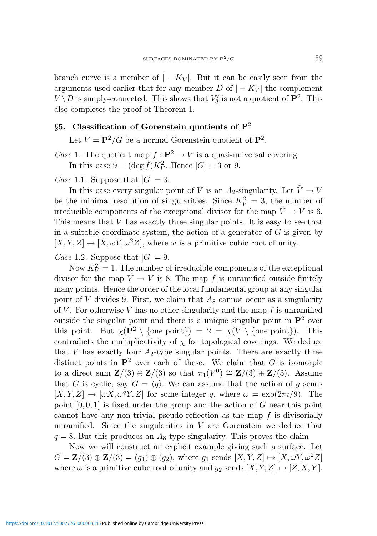branch curve is a member of  $|-K_V|$ . But it can be easily seen from the arguments used earlier that for any member D of  $|-K_V|$  the complement  $V \setminus D$  is simply-connected. This shows that  $V_8'$  is not a quotient of  $\mathbf{P}^2$ . This also completes the proof of Theorem 1.

# §5. Classification of Gorenstein quotients of  $P^2$

Let  $V = \mathbf{P}^2/G$  be a normal Gorenstein quotient of  $\mathbf{P}^2$ .

*Case* 1. The quotient map  $f : \mathbf{P}^2 \to V$  is a quasi-universal covering. In this case  $9 = (\deg f)K_V^2$ . Hence  $|G| = 3$  or 9.

Case 1.1. Suppose that  $|G| = 3$ .

In this case every singular point of V is an  $A_2$ -singularity. Let  $\tilde{V} \to V$ be the minimal resolution of singularities. Since  $K_V^2 = 3$ , the number of irreducible components of the exceptional divisor for the map  $\tilde{V} \to V$  is 6. This means that V has exactly three singular points. It is easy to see that in a suitable coordinate system, the action of a generator of  $G$  is given by  $[X, Y, Z] \to [X, \omega Y, \omega^2 Z]$ , where  $\omega$  is a primitive cubic root of unity.

Case 1.2. Suppose that  $|G| = 9$ .

Now  $K_V^2 = 1$ . The number of irreducible components of the exceptional divisor for the map  $\tilde{V} \to V$  is 8. The map f is unramified outside finitely many points. Hence the order of the local fundamental group at any singular point of V divides 9. First, we claim that  $A_8$  cannot occur as a singularity of  $V$ . For otherwise  $V$  has no other singularity and the map  $f$  is unramified outside the singular point and there is a unique singular point in  $\mathbf{P}^2$  over this point. But  $\chi(\mathbf{P}^2 \setminus \{ \text{one point} \}) = 2 = \chi(V \setminus \{ \text{one point} \})$ . This contradicts the multiplicativity of  $\chi$  for topological coverings. We deduce that V has exactly four  $A_2$ -type singular points. There are exactly three distinct points in  $\mathbf{P}^2$  over each of these. We claim that G is isomorpic to a direct sum  $\mathbf{Z}/(3) \oplus \mathbf{Z}/(3)$  so that  $\pi_1(V^0) \cong \mathbf{Z}/(3) \oplus \mathbf{Z}/(3)$ . Assume that G is cyclic, say  $G = \langle g \rangle$ . We can assume that the action of g sends  $[X, Y, Z] \to [\omega X, \omega^q Y, Z]$  for some integer q, where  $\omega = \exp(2\pi i/9)$ . The point  $[0, 0, 1]$  is fixed under the group and the action of G near this point cannot have any non-trivial pseudo-reflection as the map  $f$  is divisorially unramified. Since the singularities in  $V$  are Gorenstein we deduce that  $q = 8$ . But this produces an  $A_8$ -type singularity. This proves the claim.

Now we will construct an explicit example giving such a surface. Let  $G = \mathbf{Z}/(3) \oplus \mathbf{Z}/(3) = (g_1) \oplus (g_2)$ , where  $g_1$  sends  $[X, Y, Z] \mapsto [X, \omega Y, \omega^2 Z]$ where  $\omega$  is a primitive cube root of unity and  $g_2$  sends  $[X, Y, Z] \mapsto [Z, X, Y]$ .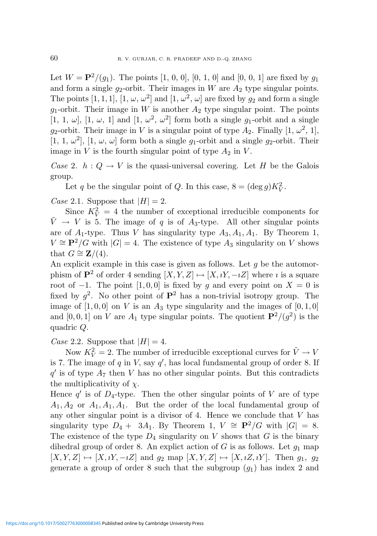Let  $W = \mathbf{P}^2/(g_1)$ . The points [1, 0, 0], [0, 1, 0] and [0, 0, 1] are fixed by  $g_1$ and form a single  $q_2$ -orbit. Their images in W are  $A_2$  type singular points. The points [1, 1, 1], [1,  $\omega$ ,  $\omega^2$ ] and [1,  $\omega^2$ ,  $\omega$ ] are fixed by  $g_2$  and form a single  $g_1$ -orbit. Their image in W is another  $A_2$  type singular point. The points [1, 1,  $\omega$ ], [1,  $\omega$ , 1] and [1,  $\omega^2$ ,  $\omega^2$ ] form both a single  $g_1$ -orbit and a single g<sub>2</sub>-orbit. Their image in V is a singular point of type  $A_2$ . Finally  $[1, \omega^2, 1]$ , [1, 1,  $\omega^2$ ], [1,  $\omega$ ,  $\omega$ ] form both a single  $g_1$ -orbit and a single  $g_2$ -orbit. Their image in  $V$  is the fourth singular point of type  $A_2$  in  $V$ .

Case 2.  $h: Q \to V$  is the quasi-universal covering. Let H be the Galois group.

Let q be the singular point of Q. In this case,  $8 = (\deg g)K_V^2$ .

Case 2.1. Suppose that  $|H| = 2$ .

Since  $K_V^2 = 4$  the number of exceptional irreducible components for  $\tilde{V} \rightarrow V$  is 5. The image of q is of  $A_3$ -type. All other singular points are of  $A_1$ -type. Thus V has singularity type  $A_3, A_1, A_1$ . By Theorem 1,  $V \cong \mathbf{P}^2/G$  with  $|G| = 4$ . The existence of type  $A_3$  singularity on V shows that  $G \cong \mathbf{Z}/(4)$ .

An explicit example in this case is given as follows. Let  $q$  be the automorphism of  $\mathbf{P}^2$  of order 4 sending  $[X, Y, Z] \mapsto [X, iY, -iZ]$  where *i* is a square root of −1. The point [1, 0, 0] is fixed by g and every point on  $X = 0$  is fixed by  $g^2$ . No other point of  $\mathbf{P}^2$  has a non-trivial isotropy group. The image of  $[1, 0, 0]$  on V is an  $A_3$  type singularity and the images of  $[0, 1, 0]$ and [0, 0, 1] on V are  $A_1$  type singular points. The quotient  $\mathbf{P}^2/(g^2)$  is the quadric Q.

Case 2.2. Suppose that  $|H| = 4$ .

Now  $K_V^2 = 2$ . The number of irreducible exceptional curves for  $\tilde{V} \rightarrow V$ is 7. The image of  $q$  in  $V$ , say  $q'$ , has local fundamental group of order 8. If  $q'$  is of type  $A_7$  then V has no other singular points. But this contradicts the multiplicativity of  $\chi$ .

Hence  $q'$  is of  $D_4$ -type. Then the other singular points of V are of type  $A_1, A_2$  or  $A_1, A_1, A_1$ . But the order of the local fundamental group of any other singular point is a divisor of 4. Hence we conclude that  $V$  has singularity type  $D_4 + 3A_1$ . By Theorem 1,  $V \cong \mathbf{P}^2/G$  with  $|G| = 8$ . The existence of the type  $D_4$  singularity on V shows that G is the binary dihedral group of order 8. An explict action of  $G$  is as follows. Let  $g_1$  map  $[X, Y, Z] \mapsto [X, iY, -iZ]$  and  $g_2$  map  $[X, Y, Z] \mapsto [X, iZ, iY]$ . Then  $g_1, g_2$ generate a group of order 8 such that the subgroup  $(g_1)$  has index 2 and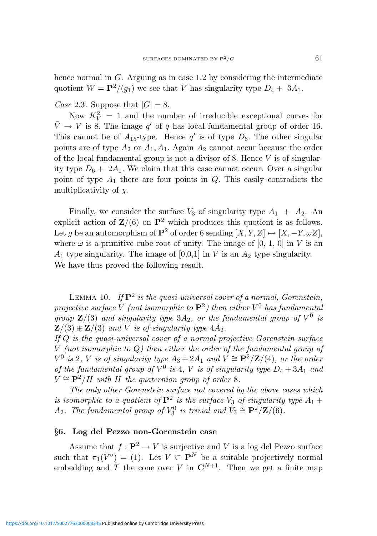hence normal in G. Arguing as in case 1.2 by considering the intermediate quotient  $W = \mathbf{P}^2/(q_1)$  we see that V has singularity type  $D_4 + 3A_1$ .

Case 2.3. Suppose that  $|G| = 8$ .

Now  $K_V^2 = 1$  and the number of irreducible exceptional curves for  $\tilde{V} \rightarrow V$  is 8. The image  $q'$  of q has local fundamental group of order 16. This cannot be of  $A_{15}$ -type. Hence  $q'$  is of type  $D_6$ . The other singular points are of type  $A_2$  or  $A_1, A_1$ . Again  $A_2$  cannot occur because the order of the local fundamental group is not a divisor of 8. Hence  $V$  is of singularity type  $D_6 + 2A_1$ . We claim that this case cannot occur. Over a singular point of type  $A_1$  there are four points in  $Q$ . This easily contradicts the multiplicativity of  $\chi$ .

Finally, we consider the surface  $V_3$  of singularity type  $A_1 + A_2$ . An explicit action of  $\mathbf{Z}/(6)$  on  $\mathbf{P}^2$  which produces this quotient is as follows. Let q be an automorphism of  $\mathbf{P}^2$  of order 6 sending  $[X, Y, Z] \mapsto [X, -Y, \omega Z]$ , where  $\omega$  is a primitive cube root of unity. The image of [0, 1, 0] in V is an  $A_1$  type singularity. The image of [0,0,1] in V is an  $A_2$  type singularity. We have thus proved the following result.

LEMMA 10. If  $\mathbf{P}^2$  is the quasi-universal cover of a normal, Gorenstein, projective surface V (not isomorphic to  ${\bf P}^2)$  then either  $V^0$  has fundamental group  $\mathbf{Z}/(3)$  and singularity type  $3A_2$ , or the fundamental group of  $V^0$  is  $\mathbf{Z}/(3) \oplus \mathbf{Z}/(3)$  and V is of singularity type  $4A_2$ .

If Q is the quasi-universal cover of a normal projective Gorenstein surface V (not isomorphic to Q) then either the order of the fundamental group of  $V^0$  is 2, V is of singularity type  $A_3 + 2A_1$  and  $V \cong \mathbf{P}^2/\mathbf{Z}/(4)$ , or the order of the fundamental group of  $V^0$  is 4, V is of singularity type  $D_4 + 3A_1$  and  $V \cong \mathbf{P}^2/H$  with H the quaternion group of order 8.

The only other Gorenstein surface not covered by the above cases which is isomorphic to a quotient of  $\mathbf{P}^2$  is the surface  $V_3$  of singularity type  $A_1 +$ A<sub>2</sub>. The fundamental group of  $V_3^0$  is trivial and  $V_3 \cong \mathbf{P}^2/\mathbf{Z}/(6)$ .

### §6. Log del Pezzo non-Gorenstein case

Assume that  $f: \mathbf{P}^2 \to V$  is surjective and V is a log del Pezzo surface such that  $\pi_1(V^{\circ}) = (1)$ . Let  $V \subset \mathbf{P}^N$  be a suitable projectively normal embedding and T the cone over V in  $\mathbb{C}^{N+1}$ . Then we get a finite map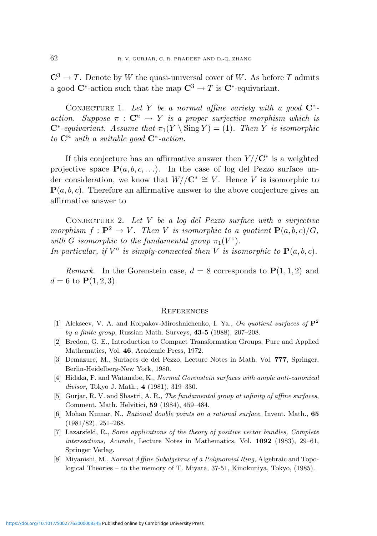$\mathbb{C}^3 \to T$ . Denote by W the quasi-universal cover of W. As before T admits a good  $\mathbb{C}^*$ -action such that the map  $\mathbb{C}^3 \to T$  is  $\mathbb{C}^*$ -equivariant.

CONJECTURE 1. Let Y be a normal affine variety with a good  $\mathbb{C}^*$ action. Suppose  $\pi : \mathbb{C}^n \to Y$  is a proper surjective morphism which is  $\mathbb{C}^*$ -equivariant. Assume that  $\pi_1(Y \setminus \text{Sing } Y) = (1)$ . Then Y is isomorphic to  $\mathbf{C}^n$  with a suitable good  $\mathbf{C}^*$ -action.

If this conjecture has an affirmative answer then  $Y/\mathbb{C}^*$  is a weighted projective space  $\mathbf{P}(a, b, c, \ldots)$ . In the case of log del Pezzo surface under consideration, we know that  $W//\mathbb{C}^* \cong V$ . Hence V is isomorphic to  ${\bf P}(a, b, c)$ . Therefore an affirmative answer to the above conjecture gives an affirmative answer to

CONJECTURE 2. Let  $V$  be a log del Pezzo surface with a surjective morphism  $f: \mathbf{P}^2 \to V$ . Then V is isomorphic to a quotient  $\mathbf{P}(a, b, c)/G$ , with G isomorphic to the fundamental group  $\pi_1(V^{\circ})$ . In particular, if  $V^{\circ}$  is simply-connected then V is isomorphic to  $\mathbf{P}(a, b, c)$ .

*Remark.* In the Gorenstein case,  $d = 8$  corresponds to  $P(1, 1, 2)$  and  $d = 6$  to  ${\bf P}(1, 2, 3)$ .

#### **REFERENCES**

- [1] Alekseev, V. A. and Kolpakov-Miroshnichenko, I. Ya., On quotient surfaces of  $\mathbb{P}^2$ by a finite group, Russian Math. Surveys, 43-5 (1988), 207–208.
- [2] Bredon, G. E., Introduction to Compact Transformation Groups, Pure and Applied Mathematics, Vol. 46, Academic Press, 1972.
- [3] Demazure, M., Surfaces de del Pezzo, Lecture Notes in Math. Vol. 777, Springer, Berlin-Heidelberg-New York, 1980.
- [4] Hidaka, F. and Watanabe, K., Normal Gorenstein surfaces with ample anti-canonical divisor, Tokyo J. Math., 4 (1981), 319–330.
- [5] Gurjar, R. V. and Shastri, A. R., The fundamental group at infinity of affine surfaces, Comment. Math. Helvitici, 59 (1984), 459–484.
- [6] Mohan Kumar, N., Rational double points on a rational surface, Invent. Math., 65 (1981/82), 251–268.
- [7] Lazarsfeld, R., Some applications of the theory of positive vector bundles, Complete intersections, Acireale, Lecture Notes in Mathematics, Vol. 1092 (1983), 29–61, Springer Verlag.
- [8] Miyanishi, M., Normal Affine Subalgebras of a Polynomial Ring, Algebraic and Topological Theories – to the memory of T. Miyata, 37-51, Kinokuniya, Tokyo, (1985).